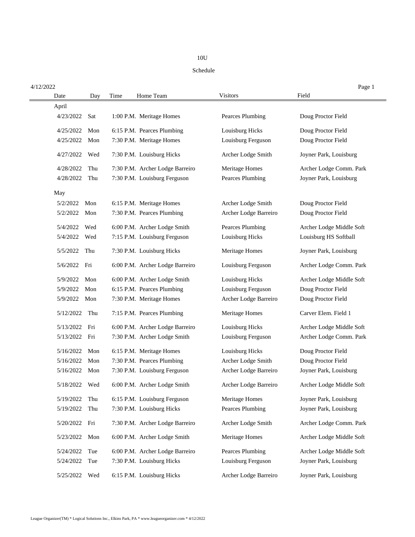## 10U

## Schedule

| 4/12/2022        |                                 |                         | Page 1                   |
|------------------|---------------------------------|-------------------------|--------------------------|
| Date<br>Day      | Time<br>Home Team               | <b>Visitors</b>         | Field                    |
| April            |                                 |                         |                          |
| 4/23/2022<br>Sat | 1:00 P.M. Meritage Homes        | Pearces Plumbing        | Doug Proctor Field       |
| 4/25/2022<br>Mon | 6:15 P.M. Pearces Plumbing      | Louisburg Hicks         | Doug Proctor Field       |
| 4/25/2022<br>Mon | 7:30 P.M. Meritage Homes        | Louisburg Ferguson      | Doug Proctor Field       |
| 4/27/2022<br>Wed | 7:30 P.M. Louisburg Hicks       | Archer Lodge Smith      | Joyner Park, Louisburg   |
| 4/28/2022<br>Thu | 7:30 P.M. Archer Lodge Barreiro | Meritage Homes          | Archer Lodge Comm. Park  |
| 4/28/2022<br>Thu | 7:30 P.M. Louisburg Ferguson    | <b>Pearces Plumbing</b> | Joyner Park, Louisburg   |
| May              |                                 |                         |                          |
| 5/2/2022<br>Mon  | 6:15 P.M. Meritage Homes        | Archer Lodge Smith      | Doug Proctor Field       |
| 5/2/2022<br>Mon  | 7:30 P.M. Pearces Plumbing      | Archer Lodge Barreiro   | Doug Proctor Field       |
| 5/4/2022<br>Wed  | 6:00 P.M. Archer Lodge Smith    | Pearces Plumbing        | Archer Lodge Middle Soft |
| 5/4/2022<br>Wed  | 7:15 P.M. Louisburg Ferguson    | Louisburg Hicks         | Louisburg HS Softball    |
| 5/5/2022<br>Thu  | 7:30 P.M. Louisburg Hicks       | <b>Meritage Homes</b>   | Joyner Park, Louisburg   |
| 5/6/2022 Fri     | 6:00 P.M. Archer Lodge Barreiro | Louisburg Ferguson      | Archer Lodge Comm. Park  |
| 5/9/2022<br>Mon  | 6:00 P.M. Archer Lodge Smith    | Louisburg Hicks         | Archer Lodge Middle Soft |
| 5/9/2022<br>Mon  | 6:15 P.M. Pearces Plumbing      | Louisburg Ferguson      | Doug Proctor Field       |
| 5/9/2022<br>Mon  | 7:30 P.M. Meritage Homes        | Archer Lodge Barreiro   | Doug Proctor Field       |
| Thu<br>5/12/2022 | 7:15 P.M. Pearces Plumbing      | Meritage Homes          | Carver Elem. Field 1     |
| 5/13/2022<br>Fri | 6:00 P.M. Archer Lodge Barreiro | Louisburg Hicks         | Archer Lodge Middle Soft |
| 5/13/2022<br>Fri | 7:30 P.M. Archer Lodge Smith    | Louisburg Ferguson      | Archer Lodge Comm. Park  |
| 5/16/2022<br>Mon | 6:15 P.M. Meritage Homes        | Louisburg Hicks         | Doug Proctor Field       |
| 5/16/2022<br>Mon | 7:30 P.M. Pearces Plumbing      | Archer Lodge Smith      | Doug Proctor Field       |
| 5/16/2022<br>Mon | 7:30 P.M. Louisburg Ferguson    | Archer Lodge Barreiro   | Joyner Park, Louisburg   |
| 5/18/2022<br>Wed | 6:00 P.M. Archer Lodge Smith    | Archer Lodge Barreiro   | Archer Lodge Middle Soft |
| 5/19/2022<br>Thu | 6:15 P.M. Louisburg Ferguson    | <b>Meritage Homes</b>   | Joyner Park, Louisburg   |
| 5/19/2022<br>Thu | 7:30 P.M. Louisburg Hicks       | <b>Pearces Plumbing</b> | Joyner Park, Louisburg   |
| 5/20/2022<br>Fri | 7:30 P.M. Archer Lodge Barreiro | Archer Lodge Smith      | Archer Lodge Comm. Park  |
| 5/23/2022<br>Mon | 6:00 P.M. Archer Lodge Smith    | <b>Meritage Homes</b>   | Archer Lodge Middle Soft |
| 5/24/2022<br>Tue | 6:00 P.M. Archer Lodge Barreiro | <b>Pearces Plumbing</b> | Archer Lodge Middle Soft |
| Tue<br>5/24/2022 | 7:30 P.M. Louisburg Hicks       | Louisburg Ferguson      | Joyner Park, Louisburg   |
| 5/25/2022<br>Wed | 6:15 P.M. Louisburg Hicks       | Archer Lodge Barreiro   | Joyner Park, Louisburg   |